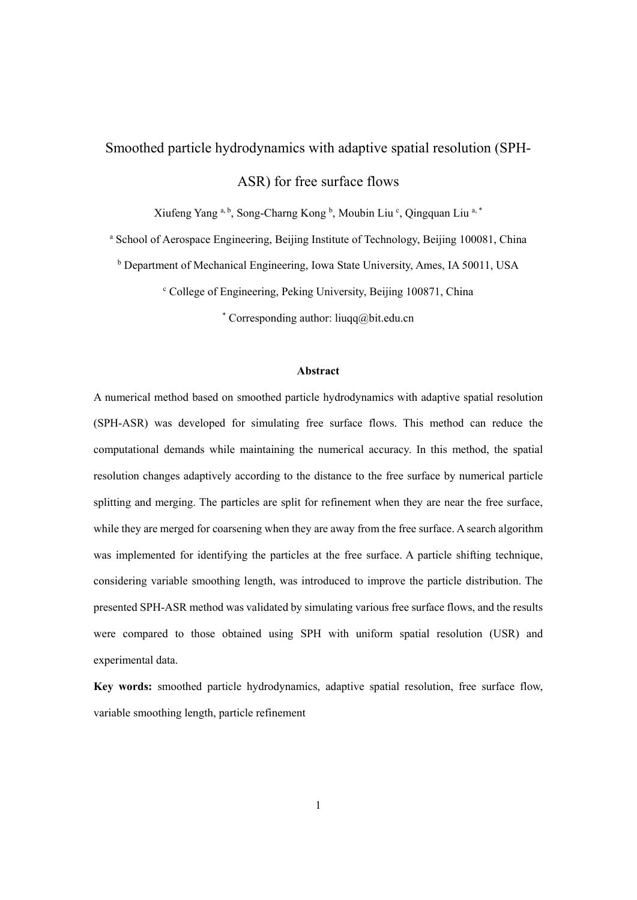# Smoothed particle hydrodynamics with adaptive spatial resolution (SPH-

ASR) for free surface flows

Xiufeng Yang a, b, Song-Charng Kong b, Moubin Liu c, Qingquan Liu a, \*

<sup>a</sup> School of Aerospace Engineering, Beijing Institute of Technology, Beijing 100081, China

<sup>b</sup> Department of Mechanical Engineering, Iowa State University, Ames, IA 50011, USA

<sup>c</sup> College of Engineering, Peking University, Beijing 100871, China

\* Corresponding author: liuqq@bit.edu.cn

#### **Abstract**

A numerical method based on smoothed particle hydrodynamics with adaptive spatial resolution (SPH-ASR) was developed for simulating free surface flows. This method can reduce the computational demands while maintaining the numerical accuracy. In this method, the spatial resolution changes adaptively according to the distance to the free surface by numerical particle splitting and merging. The particles are split for refinement when they are near the free surface, while they are merged for coarsening when they are away from the free surface. A search algorithm was implemented for identifying the particles at the free surface. A particle shifting technique, considering variable smoothing length, was introduced to improve the particle distribution. The presented SPH-ASR method was validated by simulating various free surface flows, and the results were compared to those obtained using SPH with uniform spatial resolution (USR) and experimental data.

**Key words:** smoothed particle hydrodynamics, adaptive spatial resolution, free surface flow, variable smoothing length, particle refinement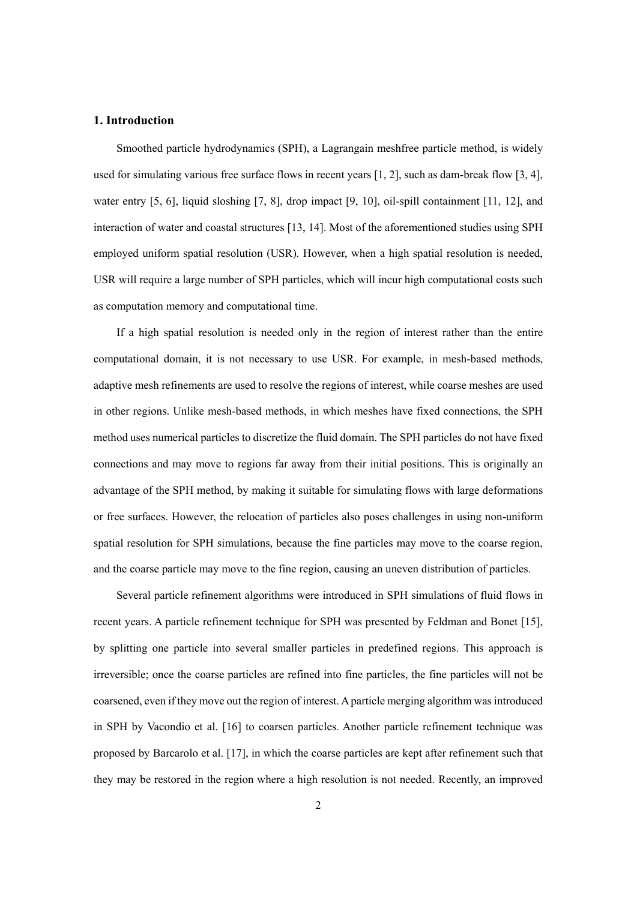### **1. Introduction**

Smoothed particle hydrodynamics (SPH), a Lagrangain meshfree particle method, is widely used for simulating various free surface flows in recent years [1, 2], such as dam-break flow [3, 4], water entry [5, 6], liquid sloshing [7, 8], drop impact [9, 10], oil-spill containment [11, 12], and interaction of water and coastal structures [13, 14]. Most of the aforementioned studies using SPH employed uniform spatial resolution (USR). However, when a high spatial resolution is needed, USR will require a large number of SPH particles, which will incur high computational costs such as computation memory and computational time.

If a high spatial resolution is needed only in the region of interest rather than the entire computational domain, it is not necessary to use USR. For example, in mesh-based methods, adaptive mesh refinements are used to resolve the regions of interest, while coarse meshes are used in other regions. Unlike mesh-based methods, in which meshes have fixed connections, the SPH method uses numerical particles to discretize the fluid domain. The SPH particles do not have fixed connections and may move to regions far away from their initial positions. This is originally an advantage of the SPH method, by making it suitable for simulating flows with large deformations or free surfaces. However, the relocation of particles also poses challenges in using non-uniform spatial resolution for SPH simulations, because the fine particles may move to the coarse region, and the coarse particle may move to the fine region, causing an uneven distribution of particles.

Several particle refinement algorithms were introduced in SPH simulations of fluid flows in recent years. A particle refinement technique for SPH was presented by Feldman and Bonet [15], by splitting one particle into several smaller particles in predefined regions. This approach is irreversible; once the coarse particles are refined into fine particles, the fine particles will not be coarsened, even if they move out the region of interest. A particle merging algorithm was introduced in SPH by Vacondio et al. [16] to coarsen particles. Another particle refinement technique was proposed by Barcarolo et al. [17], in which the coarse particles are kept after refinement such that they may be restored in the region where a high resolution is not needed. Recently, an improved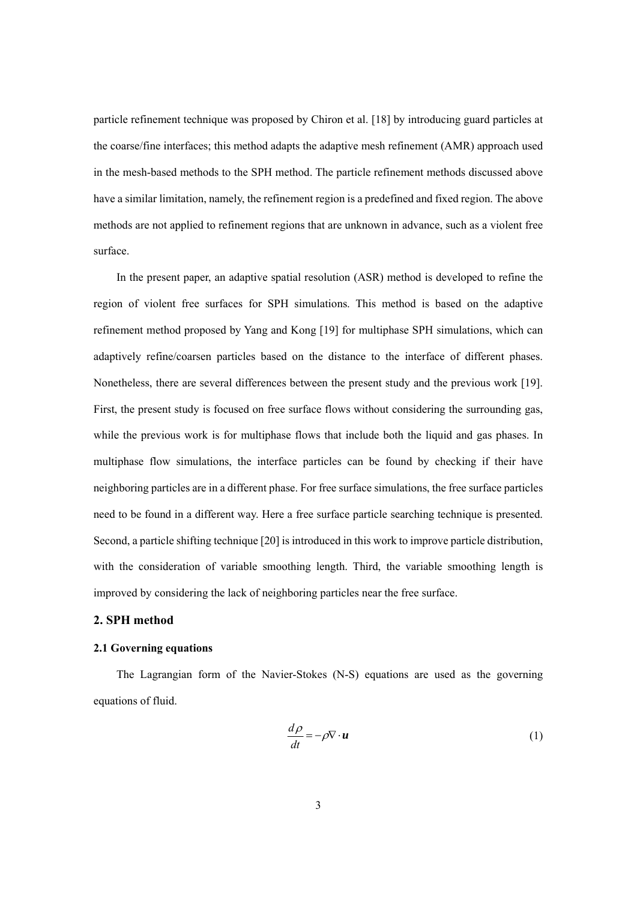particle refinement technique was proposed by Chiron et al. [18] by introducing guard particles at the coarse/fine interfaces; this method adapts the adaptive mesh refinement (AMR) approach used in the mesh-based methods to the SPH method. The particle refinement methods discussed above have a similar limitation, namely, the refinement region is a predefined and fixed region. The above methods are not applied to refinement regions that are unknown in advance, such as a violent free surface.

In the present paper, an adaptive spatial resolution (ASR) method is developed to refine the region of violent free surfaces for SPH simulations. This method is based on the adaptive refinement method proposed by Yang and Kong [19] for multiphase SPH simulations, which can adaptively refine/coarsen particles based on the distance to the interface of different phases. Nonetheless, there are several differences between the present study and the previous work [19]. First, the present study is focused on free surface flows without considering the surrounding gas, while the previous work is for multiphase flows that include both the liquid and gas phases. In multiphase flow simulations, the interface particles can be found by checking if their have neighboring particles are in a different phase. For free surface simulations, the free surface particles need to be found in a different way. Here a free surface particle searching technique is presented. Second, a particle shifting technique [20] is introduced in this work to improve particle distribution, with the consideration of variable smoothing length. Third, the variable smoothing length is improved by considering the lack of neighboring particles near the free surface.

### **2. SPH method**

# **2.1 Governing equations**

The Lagrangian form of the Navier-Stokes (N-S) equations are used as the governing equations of fluid.

$$
\frac{d\rho}{dt} = -\rho \nabla \cdot \boldsymbol{u} \tag{1}
$$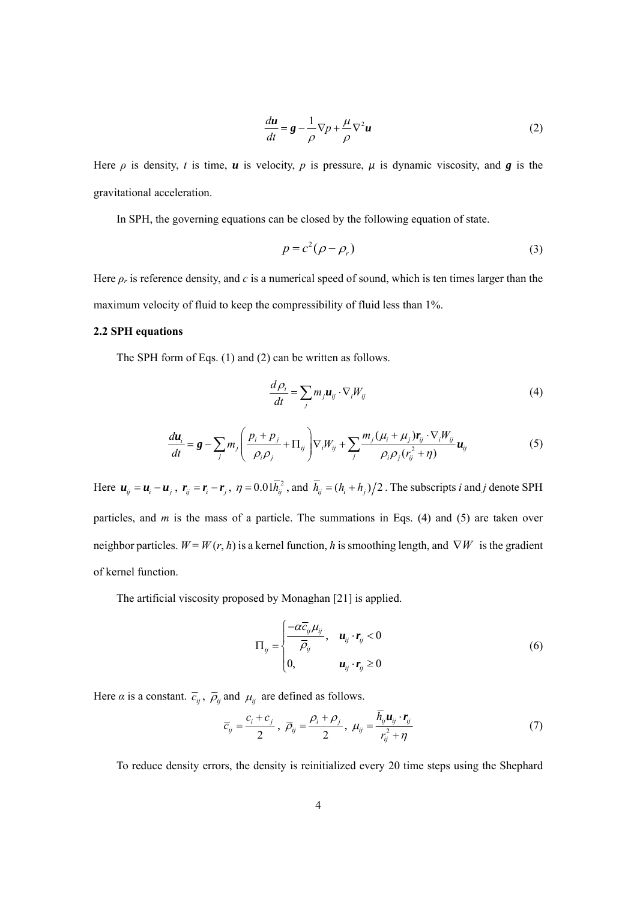$$
\frac{du}{dt} = \mathbf{g} - \frac{1}{\rho} \nabla p + \frac{\mu}{\rho} \nabla^2 u \tag{2}
$$

Here  $\rho$  is density, *t* is time, *u* is velocity, *p* is pressure,  $\mu$  is dynamic viscosity, and *g* is the gravitational acceleration.

In SPH, the governing equations can be closed by the following equation of state.

$$
p = c^2(\rho - \rho_r) \tag{3}
$$

Here  $\rho_r$  is reference density, and *c* is a numerical speed of sound, which is ten times larger than the maximum velocity of fluid to keep the compressibility of fluid less than 1%.

### **2.2 SPH equations**

The SPH form of Eqs. (1) and (2) can be written as follows.

$$
\frac{d\rho_i}{dt} = \sum_j m_j u_{ij} \cdot \nabla_i W_{ij}
$$
\n(4)

$$
\frac{d\mathbf{u}_i}{dt} = \mathbf{g} - \sum_j m_j \left( \frac{p_i + p_j}{\rho_i \rho_j} + \Pi_{ij} \right) \nabla_i W_{ij} + \sum_j \frac{m_j (\mu_i + \mu_j) \mathbf{r}_{ij} \cdot \nabla_i W_{ij}}{\rho_i \rho_j (r_{ij}^2 + \eta)} \mathbf{u}_{ij}
$$
(5)

Here  $u_{ij} = u_i - u_j$ ,  $r_{ij} = r_i - r_j$ ,  $\eta = 0.01\overline{h}_{ij}^2$ , and  $\overline{h}_{ij} = (h_i + h_j)/2$ . The subscripts *i* and *j* denote SPH particles, and *m* is the mass of a particle. The summations in Eqs. (4) and (5) are taken over neighbor particles.  $W = W(r, h)$  is a kernel function, h is smoothing length, and  $\nabla W$  is the gradient of kernel function.

The artificial viscosity proposed by Monaghan [21] is applied.

$$
\Pi_{ij} = \begin{cases}\n\frac{-\alpha \overline{c}_{ij} \mu_{ij}}{\overline{\rho}_{ij}}, & \mathbf{u}_{ij} \cdot \mathbf{r}_{ij} < 0 \\
0, & \mathbf{u}_{ij} \cdot \mathbf{r}_{ij} \ge 0\n\end{cases}
$$
\n(6)

Here  $\alpha$  is a constant.  $\overline{c}_{ij}$ ,  $\overline{\rho}_{ij}$  and  $\mu_{ij}$  are defined as follows.

$$
\overline{c}_{ij} = \frac{c_i + c_j}{2}, \ \overline{\rho}_{ij} = \frac{\rho_i + \rho_j}{2}, \ \mu_{ij} = \frac{h_{ij}u_{ij} \cdot \mathbf{r}_{ij}}{r_{ij}^2 + \eta} \tag{7}
$$

To reduce density errors, the density is reinitialized every 20 time steps using the Shephard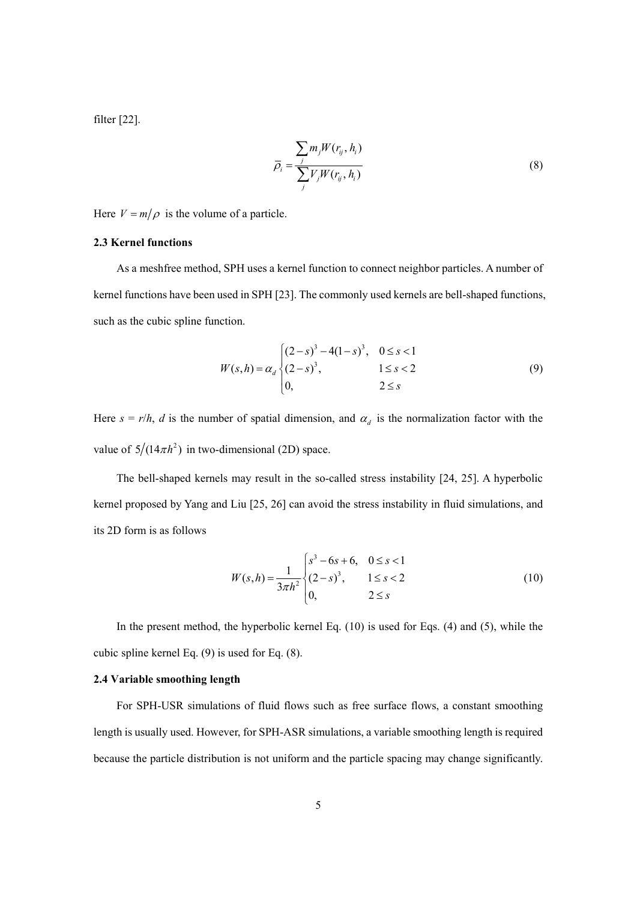filter [22].

$$
\overline{\rho}_i = \frac{\sum_j m_j W(r_{ij}, h_i)}{\sum_j V_j W(r_{ij}, h_i)}
$$
\n(8)

Here  $V = m/\rho$  is the volume of a particle.

#### **2.3 Kernel functions**

As a meshfree method, SPH uses a kernel function to connect neighbor particles. A number of kernel functions have been used in SPH [23]. The commonly used kernels are bell-shaped functions, such as the cubic spline function.

$$
W(s,h) = \alpha_d \begin{cases} (2-s)^3 - 4(1-s)^3, & 0 \le s < 1 \\ (2-s)^3, & 1 \le s < 2 \\ 0, & 2 \le s \end{cases}
$$
 (9)

Here  $s = r/h$ , *d* is the number of spatial dimension, and  $\alpha_d$  is the normalization factor with the value of  $5/(14\pi h^2)$  in two-dimensional (2D) space.

The bell-shaped kernels may result in the so-called stress instability [24, 25]. A hyperbolic kernel proposed by Yang and Liu [25, 26] can avoid the stress instability in fluid simulations, and its 2D form is as follows

$$
W(s,h) = \frac{1}{3\pi h^2} \begin{cases} s^3 - 6s + 6, & 0 \le s < 1 \\ (2-s)^3, & 1 \le s < 2 \\ 0, & 2 \le s \end{cases}
$$
 (10)

In the present method, the hyperbolic kernel Eq. (10) is used for Eqs. (4) and (5), while the cubic spline kernel Eq. (9) is used for Eq. (8).

### **2.4 Variable smoothing length**

For SPH-USR simulations of fluid flows such as free surface flows, a constant smoothing length is usually used. However, for SPH-ASR simulations, a variable smoothing length is required because the particle distribution is not uniform and the particle spacing may change significantly.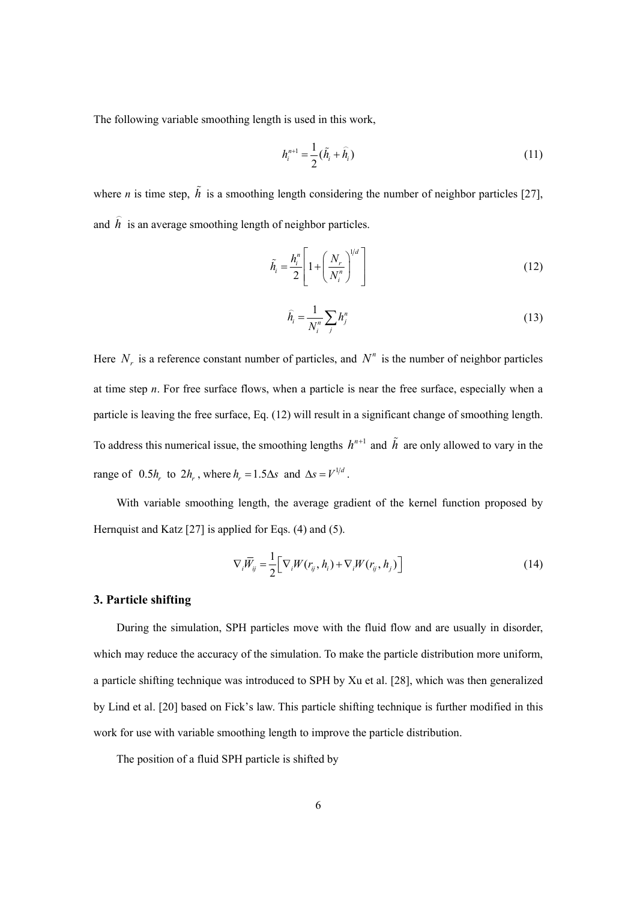The following variable smoothing length is used in this work,

$$
h_i^{n+1} = \frac{1}{2}(\tilde{h}_i + \hat{h}_i)
$$
 (11)

where *n* is time step,  $\tilde{h}$  is a smoothing length considering the number of neighbor particles [27], and *h*  $\overline{a}$ is an average smoothing length of neighbor particles.

$$
\tilde{h}_i = \frac{h_i^n}{2} \left[ 1 + \left( \frac{N_r}{N_i^n} \right)^{1/d} \right] \tag{12}
$$

$$
\widehat{h}_i = \frac{1}{N_i^n} \sum_j h_j^n \tag{13}
$$

Here  $N<sub>x</sub>$  is a reference constant number of particles, and  $N<sup>n</sup>$  is the number of neighbor particles at time step *n*. For free surface flows, when a particle is near the free surface, especially when a particle is leaving the free surface, Eq. (12) will result in a significant change of smoothing length. To address this numerical issue, the smoothing lengths  $h^{n+1}$  and  $\tilde{h}$  are only allowed to vary in the range of  $0.5h$  to  $2h$ , where  $h = 1.5\Delta s$  and  $\Delta s = V^{1/d}$ .

With variable smoothing length, the average gradient of the kernel function proposed by Hernquist and Katz [27] is applied for Eqs. (4) and (5).

$$
\nabla_i \overline{W}_j = \frac{1}{2} \Big[ \nabla_i W(r_{ij}, h_i) + \nabla_i W(r_{ij}, h_j) \Big] \tag{14}
$$

### **3. Particle shifting**

During the simulation, SPH particles move with the fluid flow and are usually in disorder, which may reduce the accuracy of the simulation. To make the particle distribution more uniform, a particle shifting technique was introduced to SPH by Xu et al. [28], which was then generalized by Lind et al. [20] based on Fick's law. This particle shifting technique is further modified in this work for use with variable smoothing length to improve the particle distribution.

The position of a fluid SPH particle is shifted by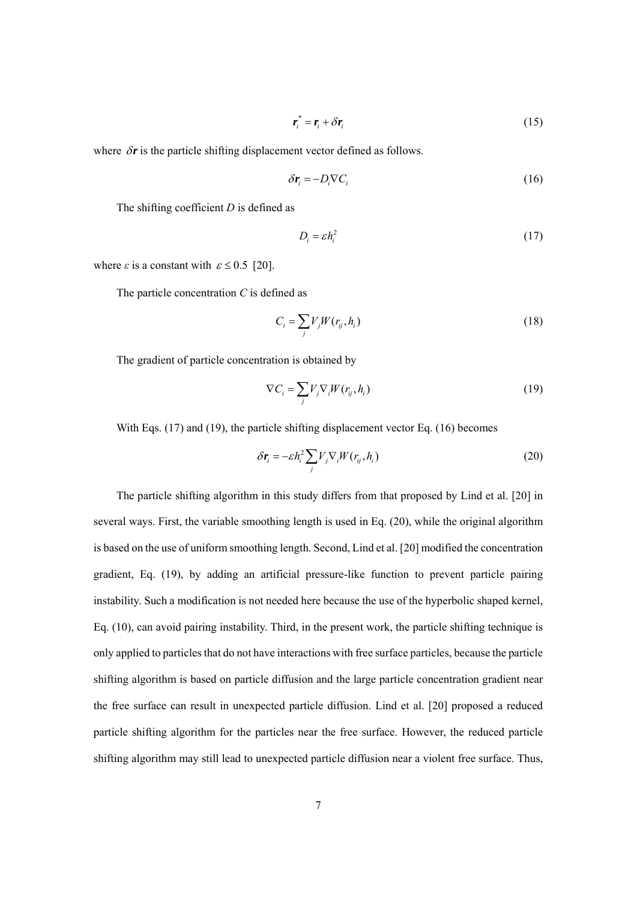$$
\boldsymbol{r}_i^* = \boldsymbol{r}_i + \delta \boldsymbol{r}_i \tag{15}
$$

where  $\delta r$  is the particle shifting displacement vector defined as follows.

$$
\delta \mathbf{r}_i = -D_i \nabla C_i \tag{16}
$$

The shifting coefficient *D* is defined as

$$
D_i = \varepsilon h_i^2 \tag{17}
$$

where  $\varepsilon$  is a constant with  $\varepsilon \le 0.5$  [20].

The particle concentration *C* is defined as

$$
C_i = \sum_j V_j W(r_{ij}, h_i)
$$
\n(18)

The gradient of particle concentration is obtained by

$$
\nabla C_i = \sum_j V_j \nabla_i W(r_{ij}, h_i)
$$
\n(19)

With Eqs. (17) and (19), the particle shifting displacement vector Eq. (16) becomes

$$
\delta \boldsymbol{r}_i = -\varepsilon h_i^2 \sum_j V_j \nabla_i W(r_{ij}, h_i)
$$
\n(20)

The particle shifting algorithm in this study differs from that proposed by Lind et al. [20] in several ways. First, the variable smoothing length is used in Eq. (20), while the original algorithm is based on the use of uniform smoothing length. Second, Lind et al. [20] modified the concentration gradient, Eq. (19), by adding an artificial pressure-like function to prevent particle pairing instability. Such a modification is not needed here because the use of the hyperbolic shaped kernel, Eq. (10), can avoid pairing instability. Third, in the present work, the particle shifting technique is only applied to particles that do not have interactions with free surface particles, because the particle shifting algorithm is based on particle diffusion and the large particle concentration gradient near the free surface can result in unexpected particle diffusion. Lind et al. [20] proposed a reduced particle shifting algorithm for the particles near the free surface. However, the reduced particle shifting algorithm may still lead to unexpected particle diffusion near a violent free surface. Thus,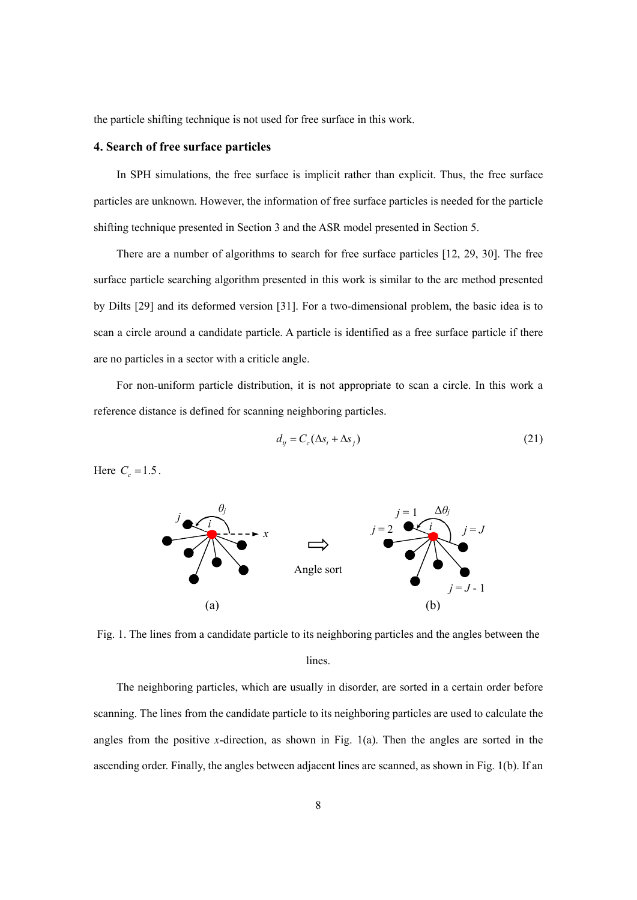the particle shifting technique is not used for free surface in this work.

# **4. Search of free surface particles**

In SPH simulations, the free surface is implicit rather than explicit. Thus, the free surface particles are unknown. However, the information of free surface particles is needed for the particle shifting technique presented in Section 3 and the ASR model presented in Section 5.

There are a number of algorithms to search for free surface particles [12, 29, 30]. The free surface particle searching algorithm presented in this work is similar to the arc method presented by Dilts [29] and its deformed version [31]. For a two-dimensional problem, the basic idea is to scan a circle around a candidate particle. A particle is identified as a free surface particle if there are no particles in a sector with a criticle angle.

For non-uniform particle distribution, it is not appropriate to scan a circle. In this work a reference distance is defined for scanning neighboring particles.

$$
d_{ij} = C_c(\Delta s_i + \Delta s_j) \tag{21}
$$

Here  $C_c = 1.5$ .



Fig. 1. The lines from a candidate particle to its neighboring particles and the angles between the lines.

The neighboring particles, which are usually in disorder, are sorted in a certain order before scanning. The lines from the candidate particle to its neighboring particles are used to calculate the angles from the positive *x*-direction, as shown in Fig. 1(a). Then the angles are sorted in the ascending order. Finally, the angles between adjacent lines are scanned, as shown in Fig. 1(b). If an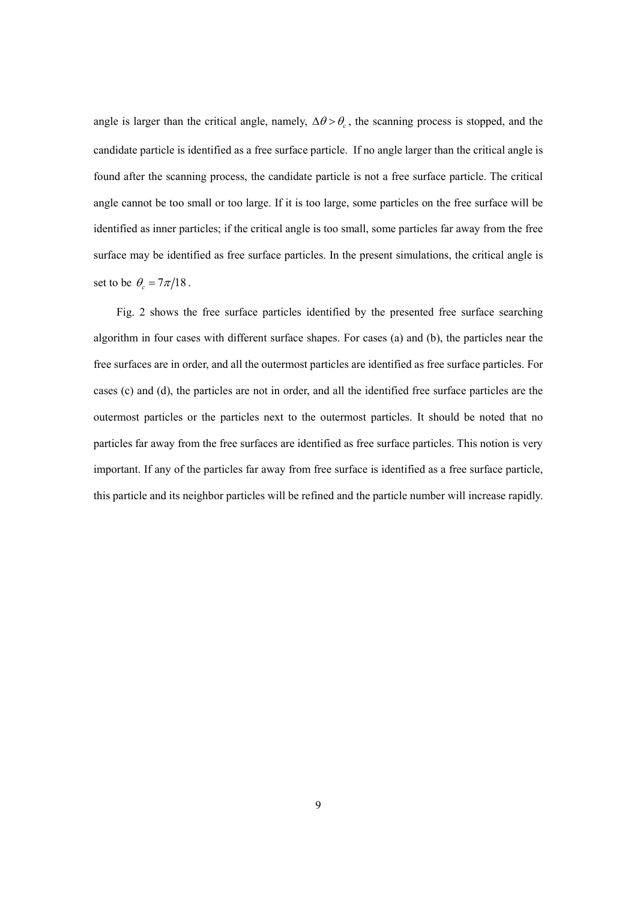angle is larger than the critical angle, namely,  $\Delta\theta > \theta_c$ , the scanning process is stopped, and the candidate particle is identified as a free surface particle. If no angle larger than the critical angle is found after the scanning process, the candidate particle is not a free surface particle. The critical angle cannot be too small or too large. If it is too large, some particles on the free surface will be identified as inner particles; if the critical angle is too small, some particles far away from the free surface may be identified as free surface particles. In the present simulations, the critical angle is set to be  $\theta_c = 7\pi/18$ .

Fig. 2 shows the free surface particles identified by the presented free surface searching algorithm in four cases with different surface shapes. For cases (a) and (b), the particles near the free surfaces are in order, and all the outermost particles are identified as free surface particles. For cases (c) and (d), the particles are not in order, and all the identified free surface particles are the outermost particles or the particles next to the outermost particles. It should be noted that no particles far away from the free surfaces are identified as free surface particles. This notion is very important. If any of the particles far away from free surface is identified as a free surface particle, this particle and its neighbor particles will be refined and the particle number will increase rapidly.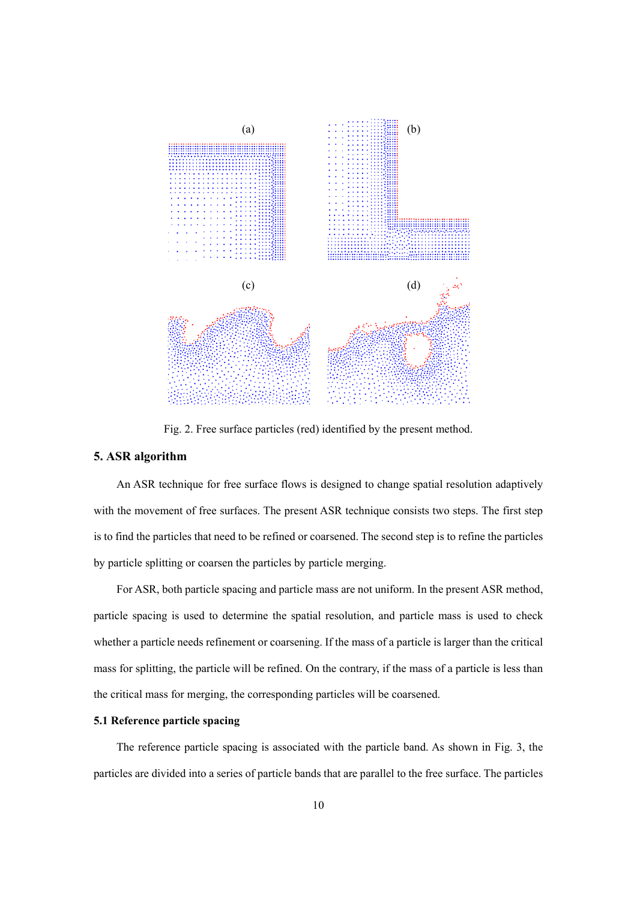

Fig. 2. Free surface particles (red) identified by the present method.

# **5. ASR algorithm**

An ASR technique for free surface flows is designed to change spatial resolution adaptively with the movement of free surfaces. The present ASR technique consists two steps. The first step is to find the particles that need to be refined or coarsened. The second step is to refine the particles by particle splitting or coarsen the particles by particle merging.

For ASR, both particle spacing and particle mass are not uniform. In the present ASR method, particle spacing is used to determine the spatial resolution, and particle mass is used to check whether a particle needs refinement or coarsening. If the mass of a particle is larger than the critical mass for splitting, the particle will be refined. On the contrary, if the mass of a particle is less than the critical mass for merging, the corresponding particles will be coarsened.

# **5.1 Reference particle spacing**

The reference particle spacing is associated with the particle band. As shown in Fig. 3, the particles are divided into a series of particle bands that are parallel to the free surface. The particles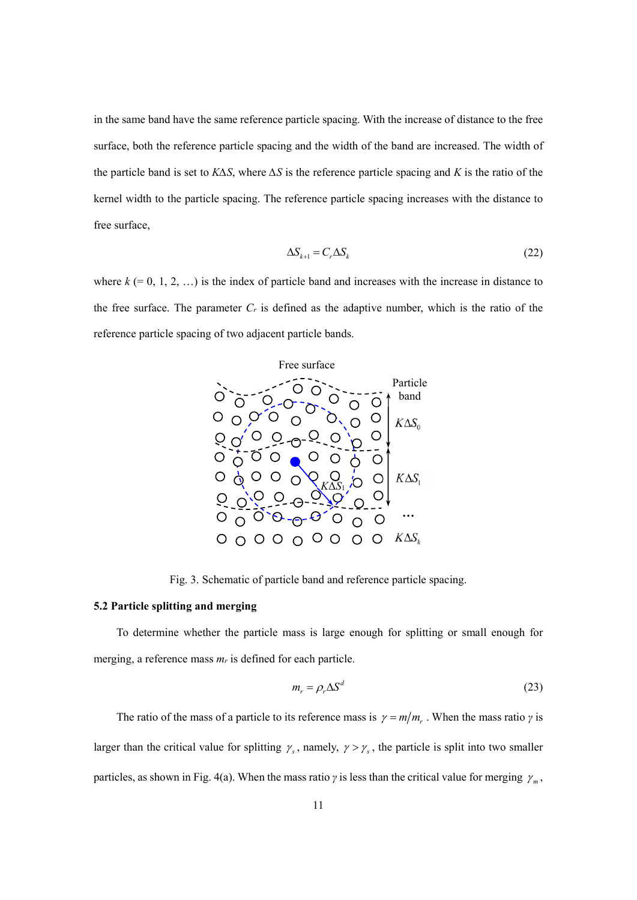in the same band have the same reference particle spacing. With the increase of distance to the free surface, both the reference particle spacing and the width of the band are increased. The width of the particle band is set to *K∆S*, where *∆S* is the reference particle spacing and *K* is the ratio of the kernel width to the particle spacing. The reference particle spacing increases with the distance to free surface,

$$
\Delta S_{k+1} = C_r \Delta S_k \tag{22}
$$

where  $k$  (= 0, 1, 2, ...) is the index of particle band and increases with the increase in distance to the free surface. The parameter  $C_r$  is defined as the adaptive number, which is the ratio of the reference particle spacing of two adjacent particle bands.



Fig. 3. Schematic of particle band and reference particle spacing.

#### **5.2 Particle splitting and merging**

To determine whether the particle mass is large enough for splitting or small enough for merging, a reference mass *mr* is defined for each particle.

$$
m_r = \rho_r \Delta S^d \tag{23}
$$

The ratio of the mass of a particle to its reference mass is  $\gamma = m/m_r$ . When the mass ratio  $\gamma$  is larger than the critical value for splitting  $\gamma_s$ , namely,  $\gamma > \gamma_s$ , the particle is split into two smaller particles, as shown in Fig. 4(a). When the mass ratio *γ* is less than the critical value for merging  $\gamma_m$ ,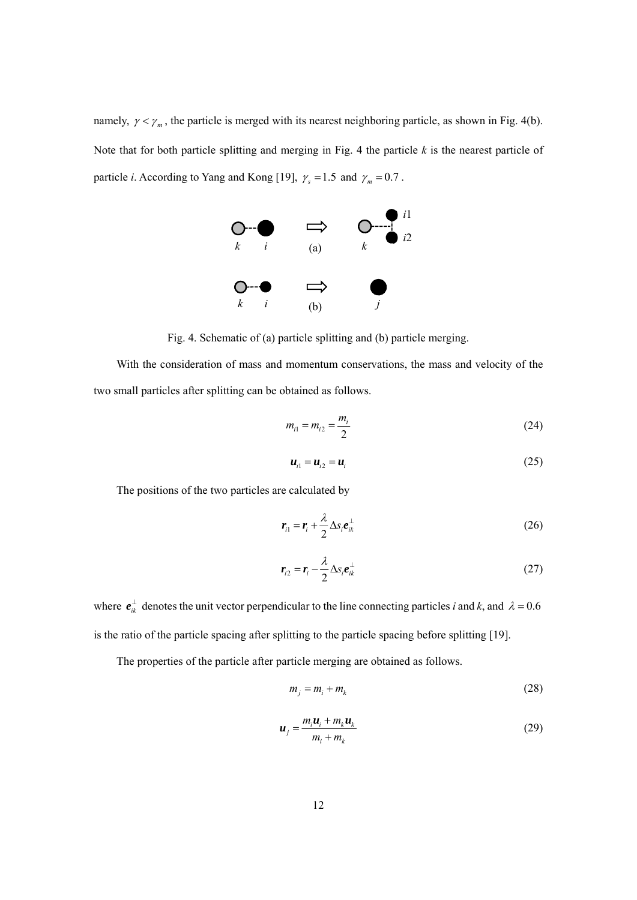namely,  $\gamma < \gamma_m$ , the particle is merged with its nearest neighboring particle, as shown in Fig. 4(b). Note that for both particle splitting and merging in Fig. 4 the particle *k* is the nearest particle of particle *i*. According to Yang and Kong [19],  $\gamma_s = 1.5$  and  $\gamma_m = 0.7$ .



Fig. 4. Schematic of (a) particle splitting and (b) particle merging.

With the consideration of mass and momentum conservations, the mass and velocity of the two small particles after splitting can be obtained as follows.

$$
m_{i1} = m_{i2} = \frac{m_i}{2}
$$
 (24)

$$
\boldsymbol{u}_{i1} = \boldsymbol{u}_{i2} = \boldsymbol{u}_i \tag{25}
$$

The positions of the two particles are calculated by

$$
\boldsymbol{r}_{i1} = \boldsymbol{r}_{i} + \frac{\lambda}{2} \Delta s_{i} \boldsymbol{e}_{ik}^{\perp}
$$
 (26)

$$
r_{i2} = r_i - \frac{\lambda}{2} \Delta s_i e_{ik}^{\perp}
$$
 (27)

where  $e_{ik}^{\perp}$  denotes the unit vector perpendicular to the line connecting particles *i* and *k*, and  $\lambda = 0.6$ is the ratio of the particle spacing after splitting to the particle spacing before splitting [19].

The properties of the particle after particle merging are obtained as follows.

$$
m_j = m_i + m_k \tag{28}
$$

$$
\boldsymbol{u}_{j} = \frac{m_{i} \boldsymbol{u}_{i} + m_{k} \boldsymbol{u}_{k}}{m_{i} + m_{k}}
$$
(29)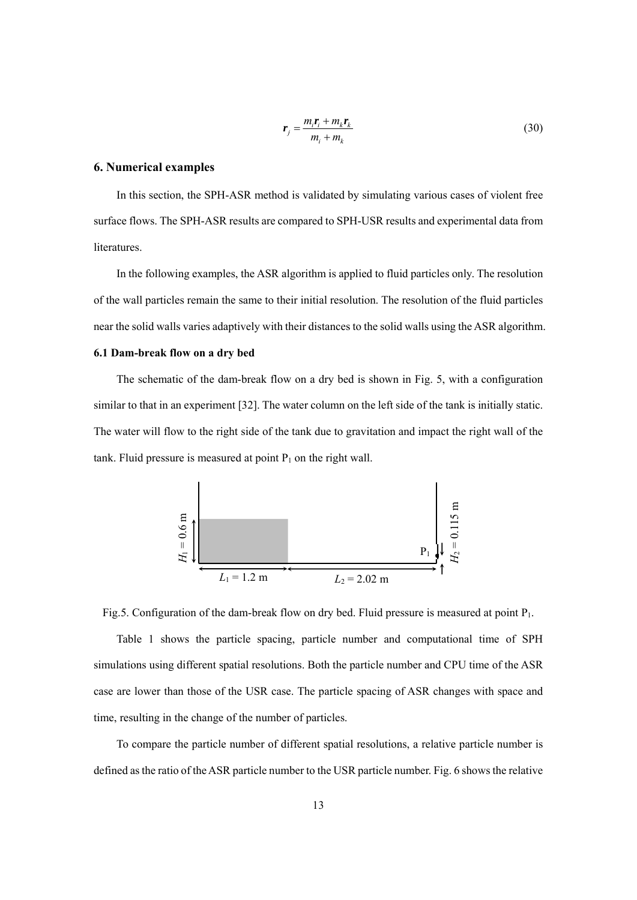$$
r_j = \frac{m_i r_i + m_k r_k}{m_i + m_k} \tag{30}
$$

### **6. Numerical examples**

In this section, the SPH-ASR method is validated by simulating various cases of violent free surface flows. The SPH-ASR results are compared to SPH-USR results and experimental data from literatures.

In the following examples, the ASR algorithm is applied to fluid particles only. The resolution of the wall particles remain the same to their initial resolution. The resolution of the fluid particles near the solid walls varies adaptively with their distances to the solid walls using the ASR algorithm.

#### **6.1 Dam-break flow on a dry bed**

The schematic of the dam-break flow on a dry bed is shown in Fig. 5, with a configuration similar to that in an experiment [32]. The water column on the left side of the tank is initially static. The water will flow to the right side of the tank due to gravitation and impact the right wall of the tank. Fluid pressure is measured at point  $P_1$  on the right wall.



Fig.5. Configuration of the dam-break flow on dry bed. Fluid pressure is measured at point P<sub>1</sub>.

Table 1 shows the particle spacing, particle number and computational time of SPH simulations using different spatial resolutions. Both the particle number and CPU time of the ASR case are lower than those of the USR case. The particle spacing of ASR changes with space and time, resulting in the change of the number of particles.

To compare the particle number of different spatial resolutions, a relative particle number is defined as the ratio of the ASR particle number to the USR particle number. Fig. 6 shows the relative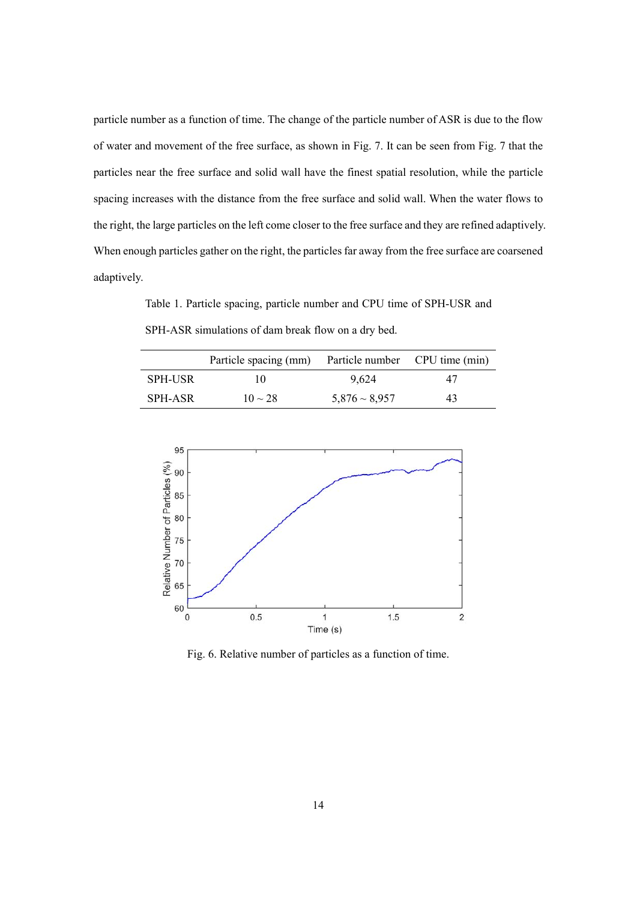particle number as a function of time. The change of the particle number of ASR is due to the flow of water and movement of the free surface, as shown in Fig. 7. It can be seen from Fig. 7 that the particles near the free surface and solid wall have the finest spatial resolution, while the particle spacing increases with the distance from the free surface and solid wall. When the water flows to the right, the large particles on the left come closer to the free surface and they are refined adaptively. When enough particles gather on the right, the particles far away from the free surface are coarsened adaptively.

Table 1. Particle spacing, particle number and CPU time of SPH-USR and SPH-ASR simulations of dam break flow on a dry bed.

|                | Particle spacing (mm) | Particle number CPU time (min) |    |
|----------------|-----------------------|--------------------------------|----|
| <b>SPH-USR</b> | 10                    | 9.624                          | 47 |
| SPH-ASR        | $10 \sim 28$          | $5,876 \sim 8,957$             | 43 |



Fig. 6. Relative number of particles as a function of time.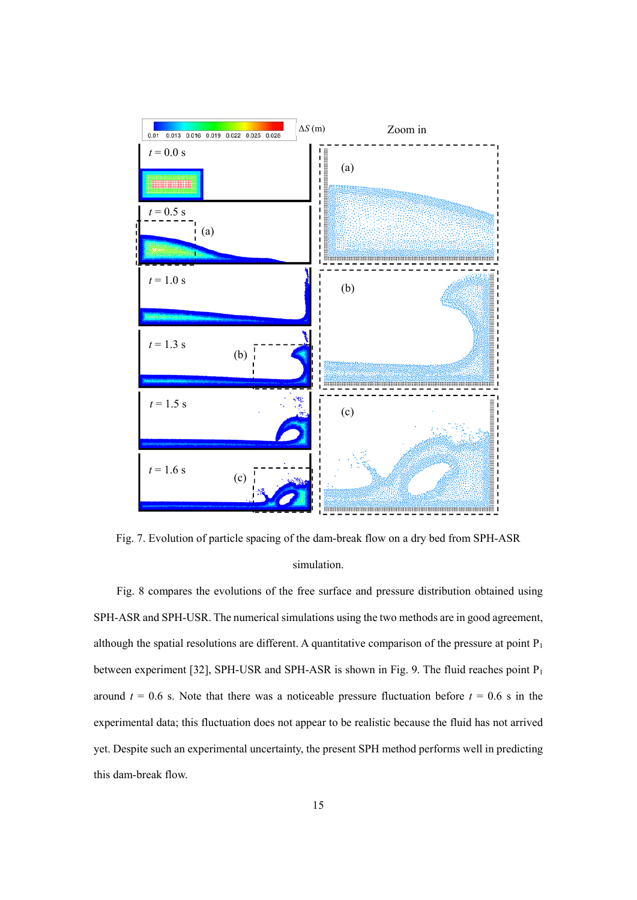

Fig. 7. Evolution of particle spacing of the dam-break flow on a dry bed from SPH-ASR simulation.

Fig. 8 compares the evolutions of the free surface and pressure distribution obtained using SPH-ASR and SPH-USR. The numerical simulations using the two methods are in good agreement, although the spatial resolutions are different. A quantitative comparison of the pressure at point  $P_1$ between experiment [32], SPH-USR and SPH-ASR is shown in Fig. 9. The fluid reaches point P<sub>1</sub> around  $t = 0.6$  s. Note that there was a noticeable pressure fluctuation before  $t = 0.6$  s in the experimental data; this fluctuation does not appear to be realistic because the fluid has not arrived yet. Despite such an experimental uncertainty, the present SPH method performs well in predicting this dam-break flow.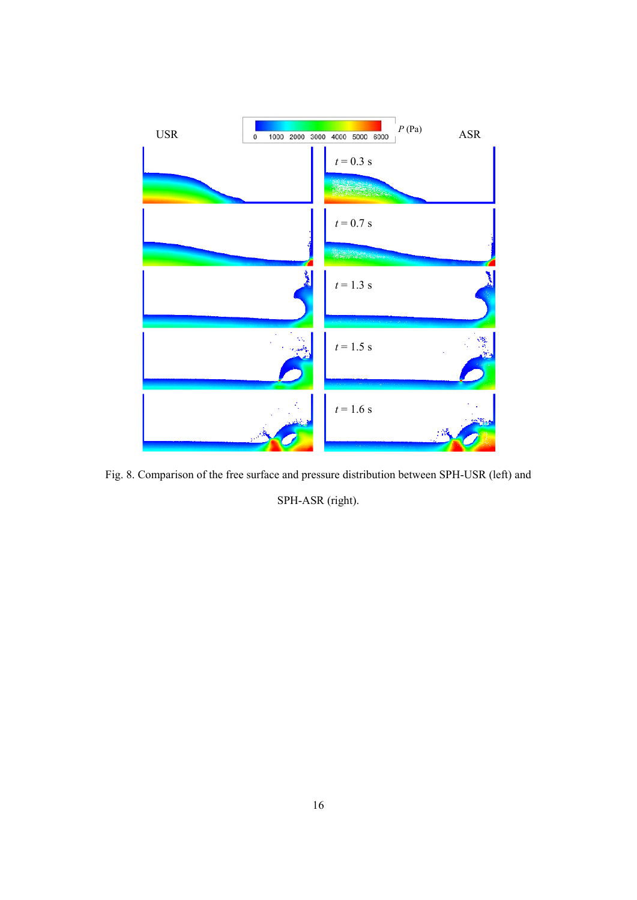

Fig. 8. Comparison of the free surface and pressure distribution between SPH-USR (left) and SPH-ASR (right).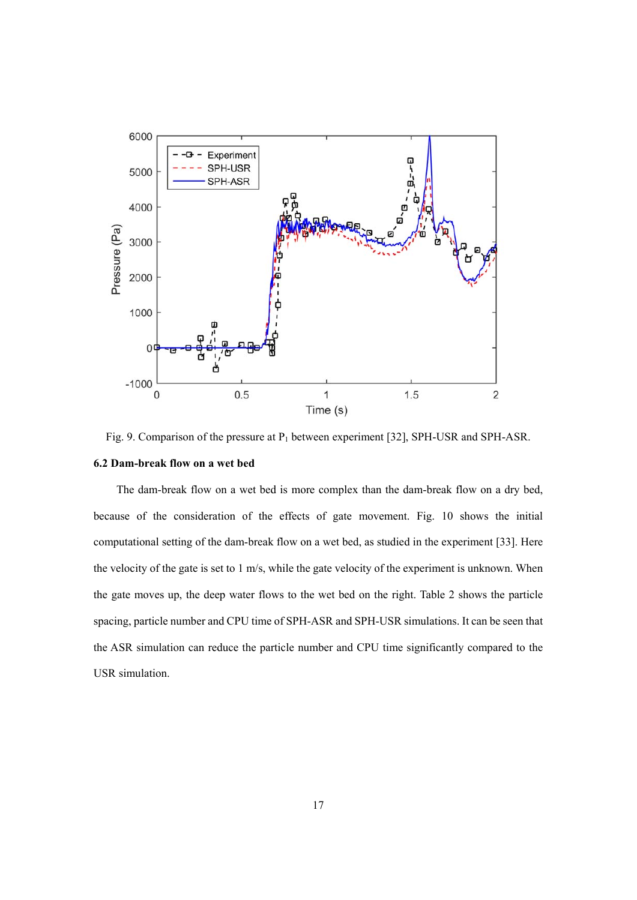

Fig. 9. Comparison of the pressure at  $P_1$  between experiment [32], SPH-USR and SPH-ASR.

### **6.2 Dam-break flow on a wet bed**

The dam-break flow on a wet bed is more complex than the dam-break flow on a dry bed, because of the consideration of the effects of gate movement. Fig. 10 shows the initial computational setting of the dam-break flow on a wet bed, as studied in the experiment [33]. Here the velocity of the gate is set to 1 m/s, while the gate velocity of the experiment is unknown. When the gate moves up, the deep water flows to the wet bed on the right. Table 2 shows the particle spacing, particle number and CPU time of SPH-ASR and SPH-USR simulations. It can be seen that the ASR simulation can reduce the particle number and CPU time significantly compared to the USR simulation.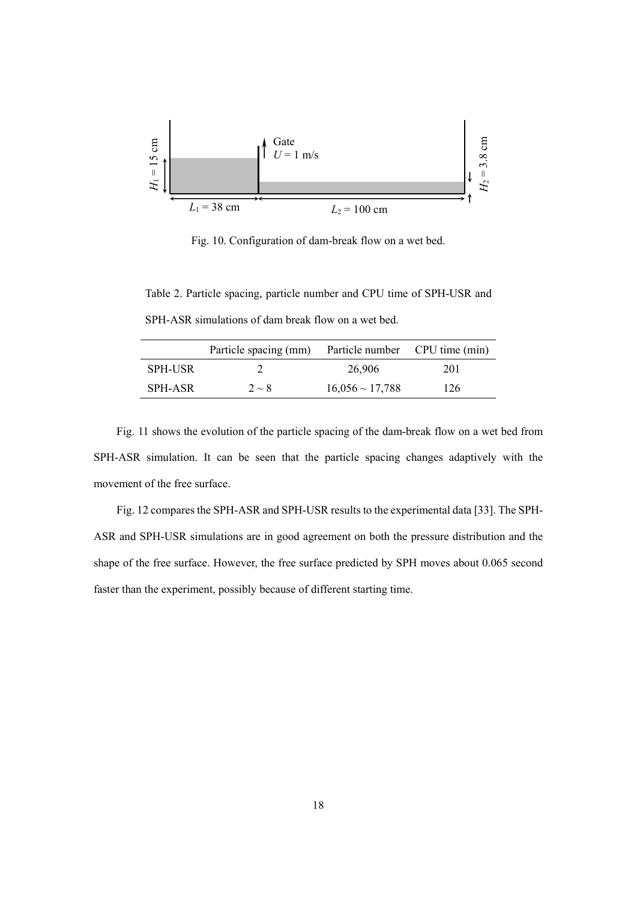

Fig. 10. Configuration of dam-break flow on a wet bed.

Table 2. Particle spacing, particle number and CPU time of SPH-USR and SPH-ASR simulations of dam break flow on a wet bed.

|                | Particle spacing (mm) | Particle number CPU time (min) |     |
|----------------|-----------------------|--------------------------------|-----|
| <b>SPH-USR</b> |                       | 26,906                         | 201 |
| SPH-ASR        | $2 \sim 8$            | $16,056 \sim 17,788$           | 126 |
|                |                       |                                |     |

Fig. 11 shows the evolution of the particle spacing of the dam-break flow on a wet bed from SPH-ASR simulation. It can be seen that the particle spacing changes adaptively with the movement of the free surface.

Fig. 12 compares the SPH-ASR and SPH-USR results to the experimental data [33]. The SPH-ASR and SPH-USR simulations are in good agreement on both the pressure distribution and the shape of the free surface. However, the free surface predicted by SPH moves about 0.065 second faster than the experiment, possibly because of different starting time.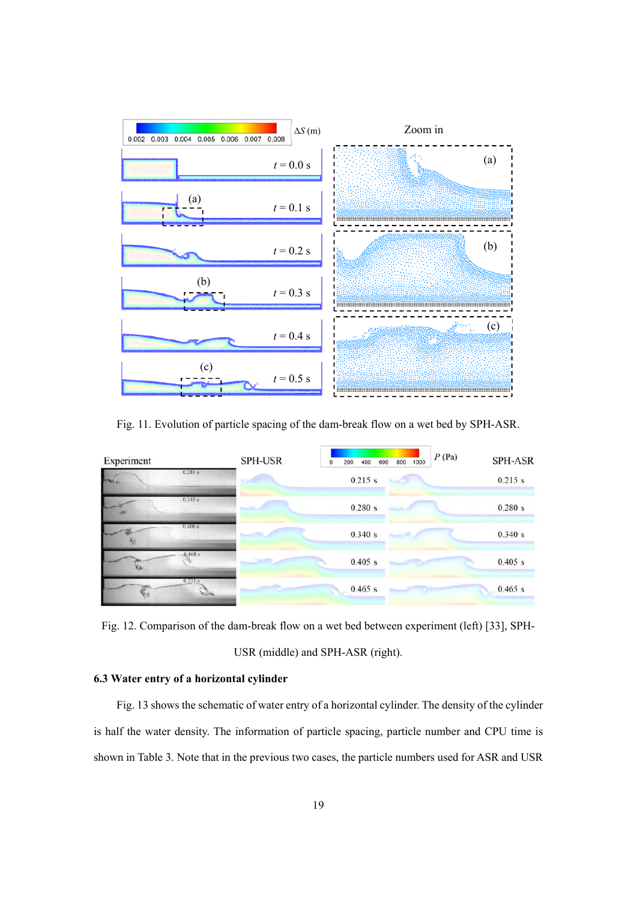

Fig. 11. Evolution of particle spacing of the dam-break flow on a wet bed by SPH-ASR.



Fig. 12. Comparison of the dam-break flow on a wet bed between experiment (left) [33], SPH-USR (middle) and SPH-ASR (right).

# **6.3 Water entry of a horizontal cylinder**

Fig. 13 shows the schematic of water entry of a horizontal cylinder. The density of the cylinder is half the water density. The information of particle spacing, particle number and CPU time is shown in Table 3. Note that in the previous two cases, the particle numbers used for ASR and USR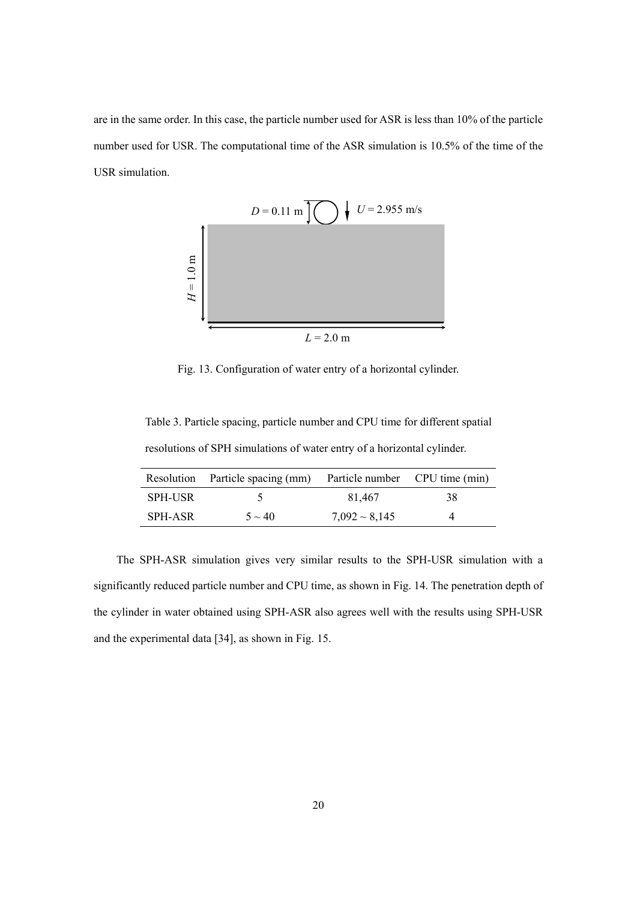are in the same order. In this case, the particle number used for ASR is less than 10% of the particle number used for USR. The computational time of the ASR simulation is 10.5% of the time of the USR simulation.



Fig. 13. Configuration of water entry of a horizontal cylinder.

Table 3. Particle spacing, particle number and CPU time for different spatial resolutions of SPH simulations of water entry of a horizontal cylinder.

|                | Resolution Particle spacing (mm) | Particle number CPU time (min) |    |
|----------------|----------------------------------|--------------------------------|----|
| <b>SPH-USR</b> |                                  | 81.467                         | 38 |
| SPH-ASR        | $5 \sim 40$                      | $7,092 \sim 8,145$             | 4  |

The SPH-ASR simulation gives very similar results to the SPH-USR simulation with a significantly reduced particle number and CPU time, as shown in Fig. 14. The penetration depth of the cylinder in water obtained using SPH-ASR also agrees well with the results using SPH-USR and the experimental data [34], as shown in Fig. 15.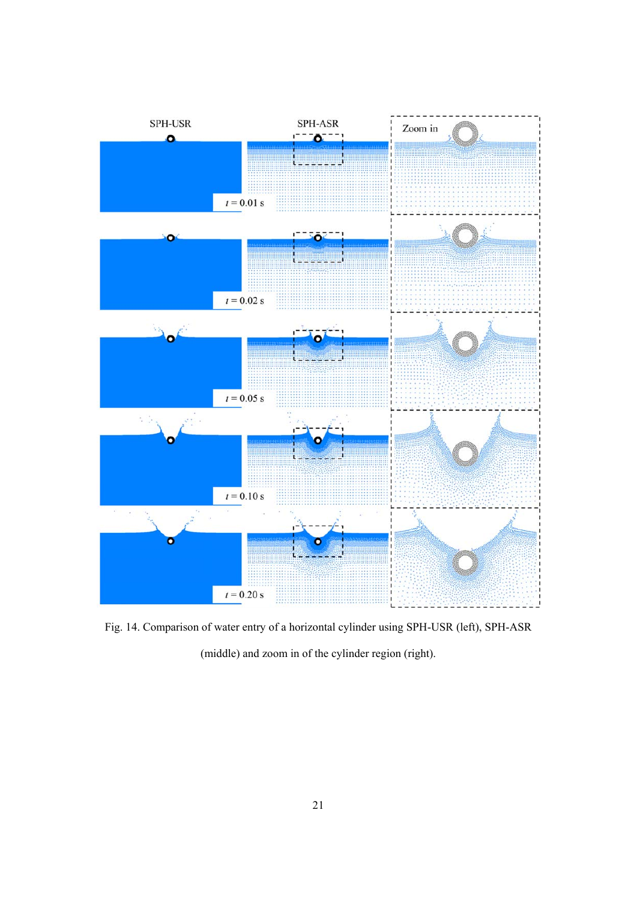

Fig. 14. Comparison of water entry of a horizontal cylinder using SPH-USR (left), SPH-ASR (middle) and zoom in of the cylinder region (right).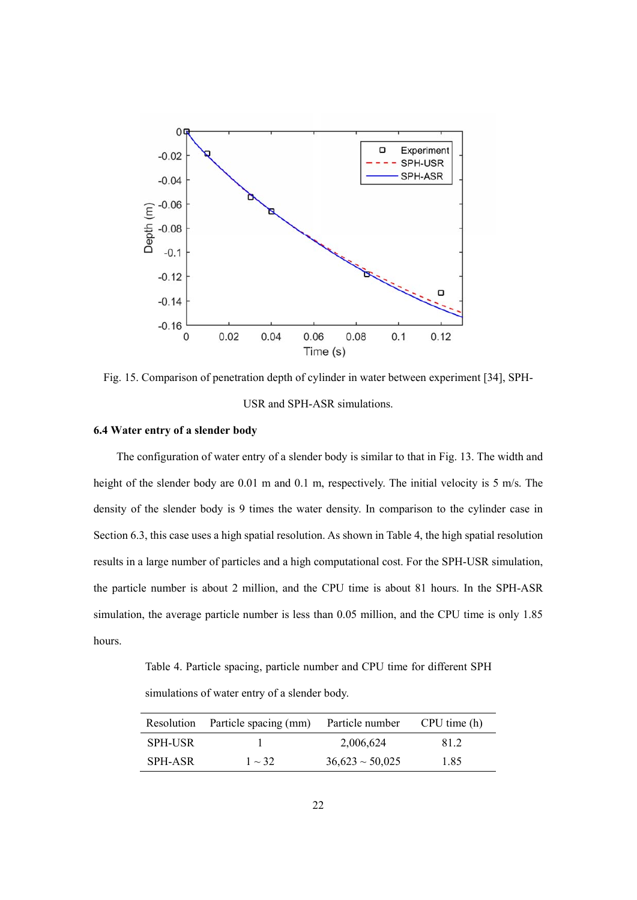

Fig. 15. Comparison of penetration depth of cylinder in water between experiment [34], SPH-USR and SPH-ASR simulations.

### **6.4 Water entry of a slender body**

The configuration of water entry of a slender body is similar to that in Fig. 13. The width and height of the slender body are 0.01 m and 0.1 m, respectively. The initial velocity is 5 m/s. The density of the slender body is 9 times the water density. In comparison to the cylinder case in Section 6.3, this case uses a high spatial resolution. As shown in Table 4, the high spatial resolution results in a large number of particles and a high computational cost. For the SPH-USR simulation, the particle number is about 2 million, and the CPU time is about 81 hours. In the SPH-ASR simulation, the average particle number is less than 0.05 million, and the CPU time is only 1.85 hours.

Table 4. Particle spacing, particle number and CPU time for different SPH

simulations of water entry of a slender body.

| Resolution     | Particle spacing (mm) | Particle number      | CPU time (h) |
|----------------|-----------------------|----------------------|--------------|
| <b>SPH-USR</b> |                       | 2,006,624            | 81.2         |
| SPH-ASR        | $1 \sim 32$           | $36,623 \sim 50,025$ | 1.85         |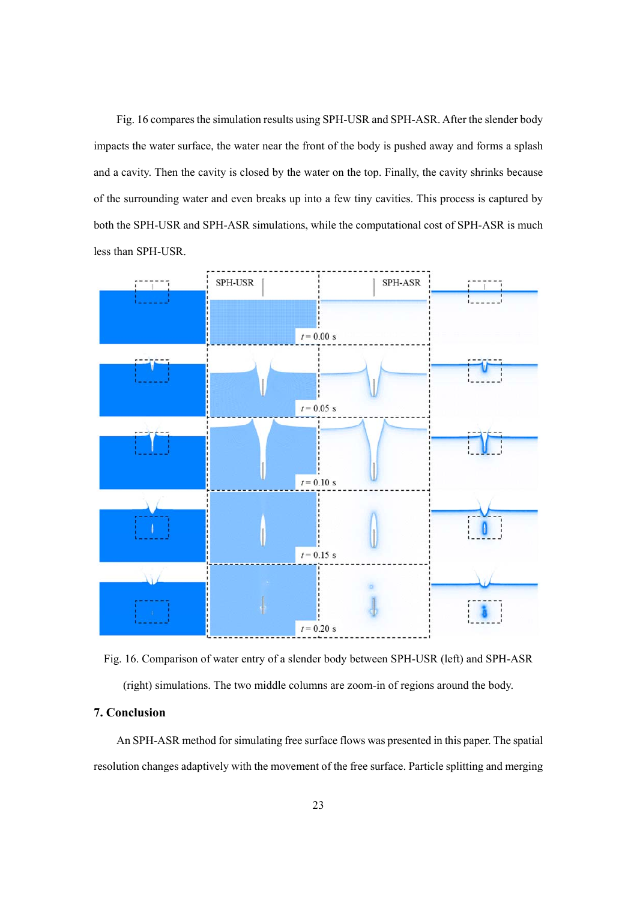Fig. 16 compares the simulation results using SPH-USR and SPH-ASR. After the slender body impacts the water surface, the water near the front of the body is pushed away and forms a splash and a cavity. Then the cavity is closed by the water on the top. Finally, the cavity shrinks because of the surrounding water and even breaks up into a few tiny cavities. This process is captured by both the SPH-USR and SPH-ASR simulations, while the computational cost of SPH-ASR is much less than SPH-USR.



Fig. 16. Comparison of water entry of a slender body between SPH-USR (left) and SPH-ASR (right) simulations. The two middle columns are zoom-in of regions around the body.

### **7. Conclusion**

An SPH-ASR method for simulating free surface flows was presented in this paper. The spatial resolution changes adaptively with the movement of the free surface. Particle splitting and merging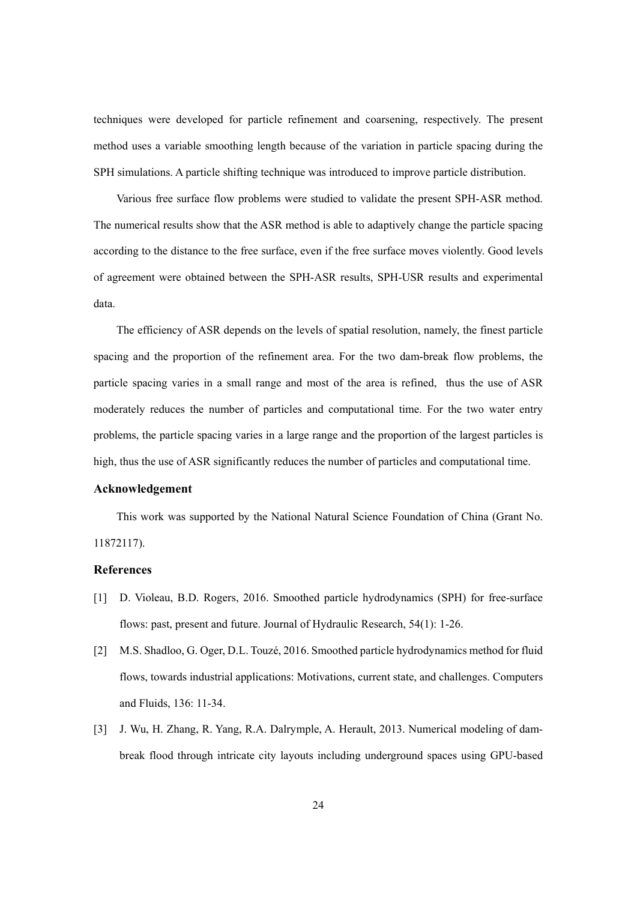techniques were developed for particle refinement and coarsening, respectively. The present method uses a variable smoothing length because of the variation in particle spacing during the SPH simulations. A particle shifting technique was introduced to improve particle distribution.

Various free surface flow problems were studied to validate the present SPH-ASR method. The numerical results show that the ASR method is able to adaptively change the particle spacing according to the distance to the free surface, even if the free surface moves violently. Good levels of agreement were obtained between the SPH-ASR results, SPH-USR results and experimental data.

The efficiency of ASR depends on the levels of spatial resolution, namely, the finest particle spacing and the proportion of the refinement area. For the two dam-break flow problems, the particle spacing varies in a small range and most of the area is refined, thus the use of ASR moderately reduces the number of particles and computational time. For the two water entry problems, the particle spacing varies in a large range and the proportion of the largest particles is high, thus the use of ASR significantly reduces the number of particles and computational time.

# **Acknowledgement**

This work was supported by the National Natural Science Foundation of China (Grant No. 11872117).

### **References**

- [1] D. Violeau, B.D. Rogers, 2016. Smoothed particle hydrodynamics (SPH) for free-surface flows: past, present and future. Journal of Hydraulic Research, 54(1): 1-26.
- [2] M.S. Shadloo, G. Oger, D.L. Touzé, 2016. Smoothed particle hydrodynamics method for fluid flows, towards industrial applications: Motivations, current state, and challenges. Computers and Fluids, 136: 11-34.
- [3] J. Wu, H. Zhang, R. Yang, R.A. Dalrymple, A. Herault, 2013. Numerical modeling of dambreak flood through intricate city layouts including underground spaces using GPU-based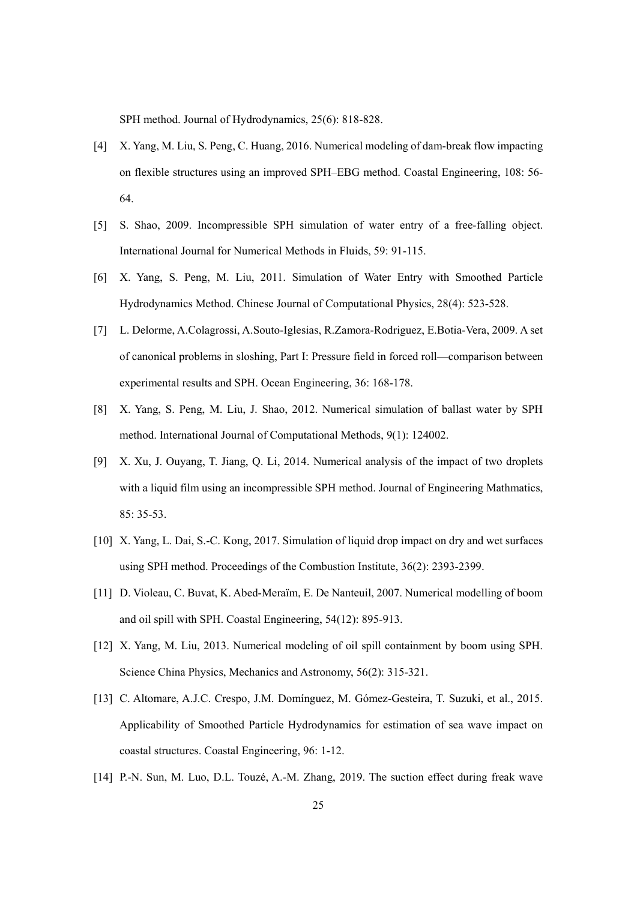SPH method. Journal of Hydrodynamics, 25(6): 818-828.

- [4] X. Yang, M. Liu, S. Peng, C. Huang, 2016. Numerical modeling of dam-break flow impacting on flexible structures using an improved SPH–EBG method. Coastal Engineering, 108: 56- 64.
- [5] S. Shao, 2009. Incompressible SPH simulation of water entry of a free-falling object. International Journal for Numerical Methods in Fluids, 59: 91-115.
- [6] X. Yang, S. Peng, M. Liu, 2011. Simulation of Water Entry with Smoothed Particle Hydrodynamics Method. Chinese Journal of Computational Physics, 28(4): 523-528.
- [7] L. Delorme, A.Colagrossi, A.Souto-Iglesias, R.Zamora-Rodriguez, E.Botia-Vera, 2009. A set of canonical problems in sloshing, Part I: Pressure field in forced roll—comparison between experimental results and SPH. Ocean Engineering, 36: 168-178.
- [8] X. Yang, S. Peng, M. Liu, J. Shao, 2012. Numerical simulation of ballast water by SPH method. International Journal of Computational Methods, 9(1): 124002.
- [9] X. Xu, J. Ouyang, T. Jiang, Q. Li, 2014. Numerical analysis of the impact of two droplets with a liquid film using an incompressible SPH method. Journal of Engineering Mathmatics, 85: 35-53.
- [10] X. Yang, L. Dai, S.-C. Kong, 2017. Simulation of liquid drop impact on dry and wet surfaces using SPH method. Proceedings of the Combustion Institute, 36(2): 2393-2399.
- [11] D. Violeau, C. Buvat, K. Abed-Meraïm, E. De Nanteuil, 2007. Numerical modelling of boom and oil spill with SPH. Coastal Engineering, 54(12): 895-913.
- [12] X. Yang, M. Liu, 2013. Numerical modeling of oil spill containment by boom using SPH. Science China Physics, Mechanics and Astronomy, 56(2): 315-321.
- [13] C. Altomare, A.J.C. Crespo, J.M. Domínguez, M. Gómez-Gesteira, T. Suzuki, et al., 2015. Applicability of Smoothed Particle Hydrodynamics for estimation of sea wave impact on coastal structures. Coastal Engineering, 96: 1-12.
- [14] P.-N. Sun, M. Luo, D.L. Touzé, A.-M. Zhang, 2019. The suction effect during freak wave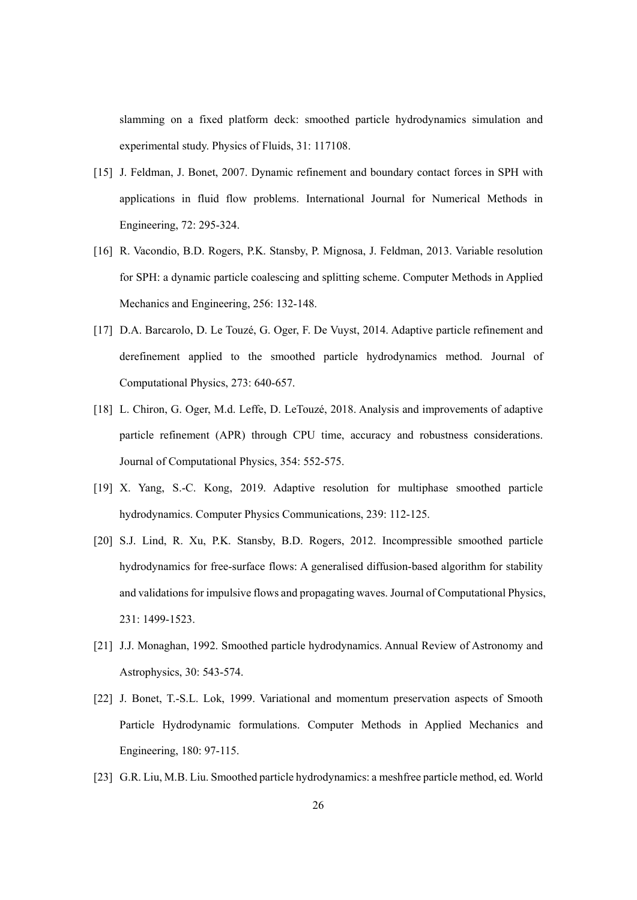slamming on a fixed platform deck: smoothed particle hydrodynamics simulation and experimental study. Physics of Fluids, 31: 117108.

- [15] J. Feldman, J. Bonet, 2007. Dynamic refinement and boundary contact forces in SPH with applications in fluid flow problems. International Journal for Numerical Methods in Engineering, 72: 295-324.
- [16] R. Vacondio, B.D. Rogers, P.K. Stansby, P. Mignosa, J. Feldman, 2013. Variable resolution for SPH: a dynamic particle coalescing and splitting scheme. Computer Methods in Applied Mechanics and Engineering, 256: 132-148.
- [17] D.A. Barcarolo, D. Le Touzé, G. Oger, F. De Vuyst, 2014. Adaptive particle refinement and derefinement applied to the smoothed particle hydrodynamics method. Journal of Computational Physics, 273: 640-657.
- [18] L. Chiron, G. Oger, M.d. Leffe, D. LeTouzé, 2018. Analysis and improvements of adaptive particle refinement (APR) through CPU time, accuracy and robustness considerations. Journal of Computational Physics, 354: 552-575.
- [19] X. Yang, S.-C. Kong, 2019. Adaptive resolution for multiphase smoothed particle hydrodynamics. Computer Physics Communications, 239: 112-125.
- [20] S.J. Lind, R. Xu, P.K. Stansby, B.D. Rogers, 2012. Incompressible smoothed particle hydrodynamics for free-surface flows: A generalised diffusion-based algorithm for stability and validations for impulsive flows and propagating waves. Journal of Computational Physics, 231: 1499-1523.
- [21] J.J. Monaghan, 1992. Smoothed particle hydrodynamics. Annual Review of Astronomy and Astrophysics, 30: 543-574.
- [22] J. Bonet, T.-S.L. Lok, 1999. Variational and momentum preservation aspects of Smooth Particle Hydrodynamic formulations. Computer Methods in Applied Mechanics and Engineering, 180: 97-115.
- [23] G.R. Liu, M.B. Liu. Smoothed particle hydrodynamics: a meshfree particle method, ed. World